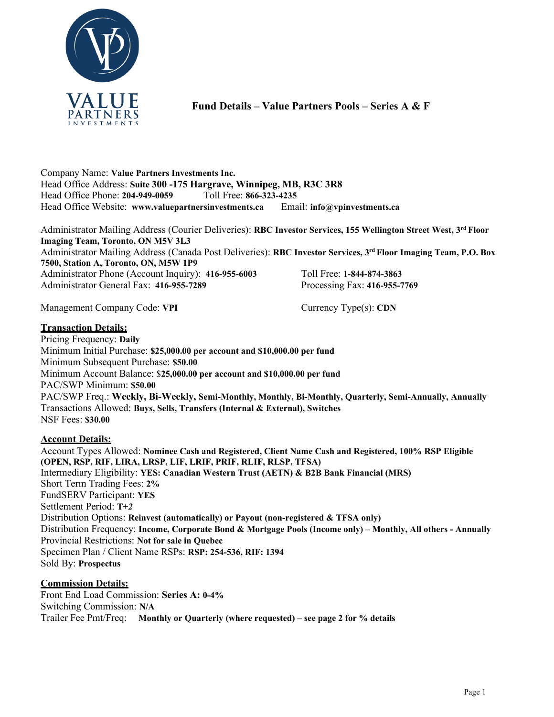

**Fund Details – Value Partners Pools – Series A & F**

Company Name: **Value Partners Investments Inc.** Head Office Address: **Suite 300 -175 Hargrave, Winnipeg, MB, R3C 3R8** Head Office Phone: **204-949-0059** Toll Free: **866-323-4235** Head Office Website: **[www.valuepartnersinvestments.ca](http://www.valuepartnersinvestments.ca/)** Email: **[info@vpinvestments.ca](mailto:info@vpinvestments.ca)**

Administrator Mailing Address (Courier Deliveries): **RBC Investor Services, 155 Wellington Street West, 3rd Floor Imaging Team, Toronto, ON M5V 3L3** Administrator Mailing Address (Canada Post Deliveries): **RBC Investor Services, 3rd Floor Imaging Team, P.O. Box 7500, Station A, Toronto, ON, M5W 1P9** Administrator Phone (Account Inquiry): **416-955-6003** Toll Free: **1-844-874-3863** Administrator General Fax: **416-955-7289** Processing Fax: **416-955-7769**

Management Company Code: **VPI** Currency Type(s): **CDN** 

**Transaction Details:**

Pricing Frequency: **Daily** Minimum Initial Purchase: **\$25,000.00 per account and \$10,000.00 per fund** Minimum Subsequent Purchase: **\$50.00** Minimum Account Balance: \$**25,000.00 per account and \$10,000.00 per fund** PAC/SWP Minimum: **\$50.00** PAC/SWP Freq.: **Weekly, Bi-Weekly, Semi-Monthly, Monthly, Bi-Monthly, Quarterly, Semi-Annually, Annually** Transactions Allowed: **Buys, Sells, Transfers (Internal & External), Switches** NSF Fees: **\$30.00**

## **Account Details:**

Account Types Allowed: **Nominee Cash and Registered, Client Name Cash and Registered, 100% RSP Eligible (OPEN, RSP, RIF, LIRA, LRSP, LIF, LRIF, PRIF, RLIF, RLSP, TFSA)** Intermediary Eligibility: **YES: Canadian Western Trust (AETN) & B2B Bank Financial (MRS)** Short Term Trading Fees: **2%**  FundSERV Participant: **YES**  Settlement Period: **T+***2* Distribution Options: **Reinvest (automatically) or Payout (non-registered & TFSA only)** Distribution Frequency: **Income, Corporate Bond & Mortgage Pools (Income only) – Monthly, All others - Annually** Provincial Restrictions: **Not for sale in Quebec** Specimen Plan / Client Name RSPs: **RSP: 254-536, RIF: 1394**  Sold By: **Prospectus**

## **Commission Details:**

Front End Load Commission: **Series A: 0-4%** Switching Commission: **N/A** Trailer Fee Pmt/Freq: **Monthly or Quarterly (where requested) – see page 2 for % details**